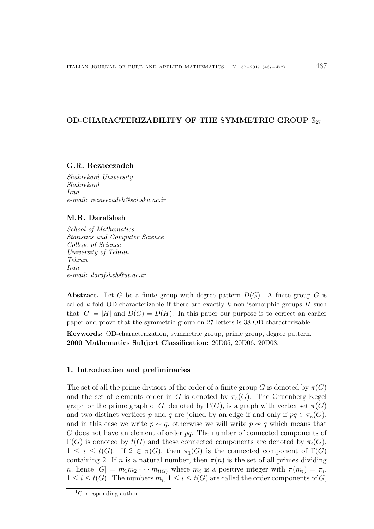# OD-CHARACTERIZABILITY OF THE SYMMETRIC GROUP  $\mathbb{S}_{27}$

#### G.R. Rezaeezadeh<sup>1</sup>

*Shahrekord University Shahrekord Iran e-mail: rezaeezadeh@sci.sku.ac.ir*

## M.R. Darafsheh

*School of Mathematics Statistics and Computer Science College of Science University of Tehran Tehran Iran e-mail: darafsheh@ut.ac.ir*

**Abstract.** Let G be a finite group with degree pattern  $D(G)$ . A finite group G is called k-fold OD-characterizable if there are exactly k non-isomorphic groups  $H$  such that  $|G| = |H|$  and  $D(G) = D(H)$ . In this paper our purpose is to correct an earlier paper and prove that the symmetric group on 27 letters is 38-OD-characterizable.

Keywords: OD-characterization, symmetric group, prime group, degree pattern. 2000 Mathematics Subject Classification: 20D05, 20D06, 20D08.

### 1. Introduction and preliminaries

The set of all the prime divisors of the order of a finite group G is denoted by  $\pi(G)$ and the set of elements order in G is denoted by  $\pi_e(G)$ . The Gruenberg-Kegel graph or the prime graph of G, denoted by  $\Gamma(G)$ , is a graph with vertex set  $\pi(G)$ and two distinct vertices p and q are joined by an edge if and only if  $pq \in \pi_e(G)$ , and in this case we write  $p \sim q$ , otherwise we will write  $p \nsim q$  which means that  $G$  does not have an element of order  $pq$ . The number of connected components of  $\Gamma(G)$  is denoted by  $t(G)$  and these connected components are denoted by  $\pi_i(G)$ ,  $1 \leq i \leq t(G)$ . If  $2 \in \pi(G)$ , then  $\pi_1(G)$  is the connected component of  $\Gamma(G)$ containing 2. If n is a natural number, then  $\pi(n)$  is the set of all primes dividing *n*, hence  $|G| = m_1 m_2 \cdots m_{t(G)}$  where  $m_i$  is a positive integer with  $\pi(m_i) = \pi_i$ ,  $1 \leq i \leq t(G)$ . The numbers  $m_i, 1 \leq i \leq t(G)$  are called the order components of G,

<sup>1</sup>Corresponding author.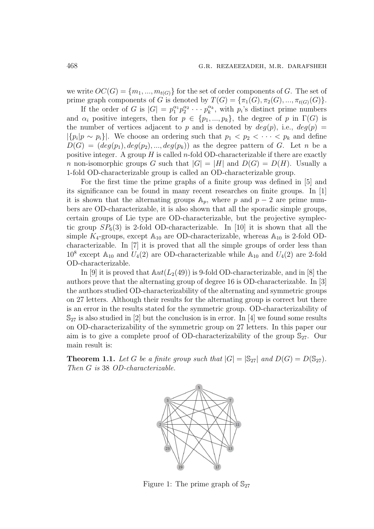we write  $OC(G) = \{m_1, ..., m_{t(G)}\}$  for the set of order components of G. The set of prime graph components of G is denoted by  $T(G) = {\pi_1(G), \pi_2(G), ..., \pi_{t(G)}(G)}$ .

If the order of G is  $|G| = p_1^{\alpha_1} p_2^{\alpha_2}$  $\frac{\alpha_2}{2} \cdot \cdot \cdot p_k^{\alpha_k}$  $\binom{\alpha_k}{k}$ , with  $p_i$ 's distinct prime numbers and  $\alpha_i$  positive integers, then for  $p \in \{p_1, ..., p_k\}$ , the degree of p in  $\Gamma(G)$  is the number of vertices adjacent to p and is denoted by  $deg(p)$ , i.e.,  $deg(p)$  $|\{p_i|p \sim p_i\}|$ . We choose an ordering such that  $p_1 < p_2 < \cdots < p_k$  and define  $D(G) = (deg(p_1), deg(p_2), ..., deg(p_k))$  as the degree pattern of G. Let n be a positive integer. A group  $H$  is called *n*-fold OD-characterizable if there are exactly n non-isomorphic groups G such that  $|G| = |H|$  and  $D(G) = D(H)$ . Usually a 1-fold OD-characterizable group is called an OD-characterizable group.

For the first time the prime graphs of a finite group was defined in [5] and its significance can be found in many recent researches on finite groups. In [1] it is shown that the alternating groups  $A_p$ , where p and  $p-2$  are prime numbers are OD-characterizable, it is also shown that all the sporadic simple groups, certain groups of Lie type are OD-characterizable, but the projective symplectic group  $SP_6(3)$  is 2-fold OD-characterizable. In [10] it is shown that all the simple  $K_4$ -groups, except  $\mathbb{A}_{10}$  are OD-characterizable, whereas  $\mathbb{A}_{10}$  is 2-fold ODcharacterizable. In [7] it is proved that all the simple groups of order less than  $10^8$  except  $\mathbb{A}_{10}$  and  $U_4(2)$  are OD-characterizable while  $\mathbb{A}_{10}$  and  $U_4(2)$  are 2-fold OD-characterizable.

In [9] it is proved that  $\mathbb{A}ut(L_2(49))$  is 9-fold OD-characterizable, and in [8] the authors prove that the alternating group of degree 16 is OD-characterizable. In [3] the authors studied OD-characterizability of the alternating and symmetric groups on 27 letters. Although their results for the alternating group is correct but there is an error in the results stated for the symmetric group. OD-characterizability of  $\mathbb{S}_{27}$  is also studied in [2] but the conclusion is in error. In [4] we found some results on OD-characterizability of the symmetric group on 27 letters. In this paper our aim is to give a complete proof of OD-characterizability of the group  $\mathbb{S}_{27}$ . Our main result is:

**Theorem 1.1.** Let G be a finite group such that  $|G| = |\mathbb{S}_{27}|$  and  $D(G) = D(\mathbb{S}_{27})$ . Then G is 38 OD-characterizable.



Figure 1: The prime graph of  $\mathbb{S}_{27}$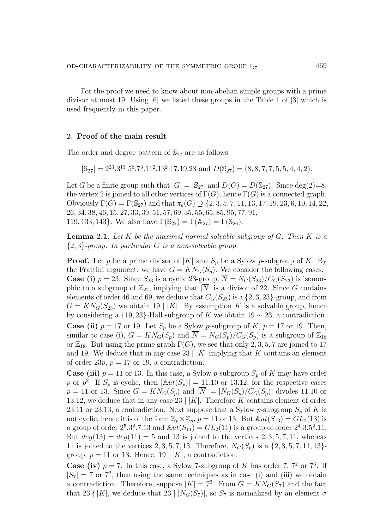For the proof we need to know about non-abelian simple groups with a prime divisor at most 19. Using [6] we listed these groups in the Table 1 of [3] which is used frequently in this paper.

# 2. Proof of the main result

The order and degree pattern of  $\mathbb{S}_{27}$  are as follows:

 $|\mathbb{S}_{27}| = 2^{23} \cdot 3^{13} \cdot 5^6 \cdot 7^3 \cdot 11^2 \cdot 13^2 \cdot 17 \cdot 19 \cdot 23$  and  $D(\mathbb{S}_{27}) = (8, 8, 7, 7, 5, 5, 4, 4, 2)$ .

Let G be a finite group such that  $|G| = |\mathbb{S}_{27}|$  and  $D(G) = D(\mathbb{S}_{27})$ . Since deg(2)=8, the vertex 2 is joined to all other vertices of  $\Gamma(G)$ , hence  $\Gamma(G)$  is a connected graph. Obviously  $\Gamma(G) = \Gamma(\mathbb{S}_{27})$  and that  $\pi_e(G) \supset \{2, 3, 5, 7, 11, 13, 17, 19, 23, 6, 10, 14, 22,$ 26, 34, 38, 46, 15, 27, 33, 39, 51, 57, 69, 35, 55, 65, 85, 95, 77, 91, 119, 133, 143}. We also have  $\Gamma(\mathbb{S}_{27}) = \Gamma(\mathbb{A}_{27}) = \Gamma(\mathbb{S}_{26})$ .

**Lemma 2.1.** Let  $K$  be the maximal normal solvable subgroup of  $G$ . Then  $K$  is a  ${2, 3}$ -group. In particular G is a non-solvable group.

**Proof.** Let p be a prime divisor of  $|K|$  and  $S_p$  be a Sylow p-subgroup of K. By the Frattini argument, we have  $G = KN_G(S_p)$ . We consider the following cases: **Case (i)**  $p = 23$ . Since  $S_{23}$  is a cyclic 23-group,  $\overline{N} = N_G(S_{23})/C_G(S_{23})$  is isomorphic to a subgroup of  $\mathbb{Z}_{22}$ , implying that  $|\overline{N}|$  is a divisor of 22. Since G contains elements of order 46 and 69, we deduce that  $C_G(S_{23})$  is a  $\{2, 3, 23\}$ -group, and from  $G = KN_G(S_{23})$  we obtain 19 | K|. By assumption K is a solvable group, hence by considering a  $\{19, 23\}$ -Hall subgroup of K we obtain 19  $\sim$  23, a contradiction. **Case (ii)**  $p = 17$  or 19. Let  $S_p$  be a Sylow p-subgroup of K,  $p = 17$  or 19. Then, similar to case (i),  $G = KN_G(S_p)$  and  $\overline{N} = N_G(S_p)/C_G(S_p)$  is a subgroup of  $\mathbb{Z}_{16}$ or  $\mathbb{Z}_{18}$ . But using the prime graph  $\Gamma(G)$ , we see that only 2, 3, 5, 7 are joined to 17 and 19. We deduce that in any case 23 |  $|K|$  implying that K contains an element of order 23p,  $p = 17$  or 19, a contradiction.

**Case (iii)**  $p = 11$  or 13. In this case, a Sylow *p*-subgroup  $S_p$  of K may have order p or  $p^2$ . If  $S_p$  is cyclic, then  $|\mathbb{A}ut(S_p)| = 11.10$  or 13.12, for the respective cases  $p = 11$  or 13. Since  $G = KN_G(S_p)$  and  $|\overline{N}| = |N_G(S_p)/C_G(S_p)|$  divides 11.10 or 13.12, we deduce that in any case 23 |  $|K|$ . Therefore K contains element of order 23.11 or 23.13, a contradiction. Next suppose that a Sylow p-subgroup  $S_p$  of K is not cyclic, hence it is of the form  $\mathbb{Z}_p\times\mathbb{Z}_p$ ,  $p = 11$  or 13. But  $\mathbb{A}ut(S_{13}) = GL_2(13)$  is a group of order  $2^5 \cdot 3^2 \cdot 7 \cdot 13$  and  $\mathbb{A}ut(S_{11}) = GL_2(11)$  is a group of order  $2^4 \cdot 3 \cdot 5^2 \cdot 11$ . But  $deg(13) = deg(11) = 5$  and 13 is joined to the vertices 2, 3, 5, 7, 11, whereas 11 is joined to the vertices 2, 3, 5, 7, 13. Therefore,  $N_G(S_p)$  is a  $\{2, 3, 5, 7, 11, 13\}$ group,  $p = 11$  or 13. Hence, 19 | |K|, a contradiction.

**Case (iv)**  $p = 7$ . In this case, a Sylow 7-subgroup of K has order 7,  $7<sup>2</sup>$  or  $7<sup>3</sup>$ . If  $|S_7| = 7$  or  $7^2$ , then using the same techniques as in case (i) and (iii) we obtain a contradiction. Therefore, suppose  $|K| = 7^3$ . From  $G = KN_G(S_7)$  and the fact that 23  $\vert K \vert$ , we deduce that 23  $\vert N_G(S_7) \vert$ , so  $S_7$  is normalized by an element  $\sigma$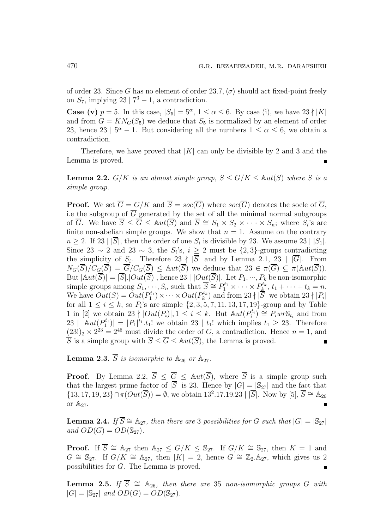of order 23. Since G has no element of order 23.7,  $\langle \sigma \rangle$  should act fixed-point freely on  $S_7$ , implying 23 |  $7^3 - 1$ , a contradiction.

**Case (v)**  $p = 5$ . In this case,  $|S_5| = 5^{\alpha}, 1 \le \alpha \le 6$ . By case (i), we have  $23 \nmid |K|$ and from  $G = KN_G(S_5)$  we deduce that  $S_5$  is normalized by an element of order 23, hence 23 |  $5^{\alpha} - 1$ . But considering all the numbers  $1 \leq \alpha \leq 6$ , we obtain a contradiction.

Therefore, we have proved that  $|K|$  can only be divisible by 2 and 3 and the Lemma is proved.

**Lemma 2.2.** G/K is an almost simple group,  $S \leq G/K \leq \mathbb{A}ut(S)$  where S is a simple group.

**Proof.** We set  $\overline{G} = G/K$  and  $\overline{S} = soc(\overline{G})$  where  $soc(\overline{G})$  denotes the socle of  $\overline{G}$ , i.e the subgroup of  $\overline{G}$  generated by the set of all the minimal normal subgroups of  $\overline{G}$ . We have  $\overline{S} \leq \overline{G} \leq \mathbb{A}ut(\overline{S})$  and  $\overline{S} \cong S_1 \times S_2 \times \cdots \times S_n$ ; where  $S_i$ 's are finite non-abelian simple groups. We show that  $n = 1$ . Assume on the contrary  $n \geq 2$ . If 23 | |S|, then the order of one  $S_i$  is divisible by 23. We assume 23 | |S<sub>1</sub>|. Since 23  $\sim$  2 and 23  $\sim$  3, the S<sub>i</sub>'s,  $i \geq 2$  must be  $\{2,3\}$ -groups contradicting the simplicity of  $S_i$ . Therefore 23  $\nmid |S|$  and by Lemma 2.1, 23  $\mid |G|$ . From  $N_G(\overline{S})/C_G(\overline{S}) = \overline{G}/C_G(\overline{S}) \leq \mathbb{A}ut(\overline{S})$  we deduce that  $23 \in \pi(\overline{G}) \subseteq \pi(\mathbb{A}ut(\overline{S}))$ . But  $|\mathbb{A}ut(S)| = |S|$ .  $|Out(S)|$ , hence 23  $|Out(S)|$ . Let  $P_1, \dots, P_k$  be non-isomorphic simple groups among  $S_1, \dots, S_n$  such that  $\overline{S} \cong P_1^{t_1} \times \dots \times P_k^{t_k}$  $b_{k}^{t_k}, t_1 + \cdots + t_k = n.$ We have  $Out(S) = Out(P_1^{t_1})$  $O_1^{t_1} \times \cdots \times Out(P_k^{t_k})$  $\binom{b_k}{k}$  and from  $23 \nmid |S|$  we obtain  $23 \nmid |P_i|$ for all  $1 \le i \le k$ , so  $P_i$ 's are simple  $\{2, 3, 5, 7, 11, 13, 17, 19\}$ -group and by Table 1 in [2] we obtain  $23 \nmid |Out(P_i)|, 1 \leq i \leq k$ . But  $Aut(P_i^{t_i})$  $P_i^{t_i}$   $\cong$   $P_i \text{wr} \mathbb{S}_{t_i}$  and from  $23 \mid \mathbb{A}ut(P_1^{t_1})$  $|t_1^{t_1}| = |P_1|^{t_1} \cdot t_1!$  we obtain 23 |  $t_1!$  which implies  $t_1 \geq 23$ . Therefore  $(23!)_2 \times 2^{23} = 2^{46}$  must divide the order of G, a contradiction. Hence  $n = 1$ , and  $\overline{S}$  is a simple group with  $\overline{S} < \overline{G} < \mathbb{A}ut(\overline{S})$ , the Lemma is proved.

**Lemma 2.3.**  $\overline{S}$  is isomorphic to  $\mathbb{A}_{26}$  or  $\mathbb{A}_{27}$ .

**Proof.** By Lemma 2.2,  $\overline{S} < \overline{G} < \Delta ut(\overline{S})$ , where  $\overline{S}$  is a simple group such that the largest prime factor of  $|\overline{S}|$  is 23. Hence by  $|G| = |\mathbb{S}_{27}|$  and the fact that  $\{13, 17, 19, 23\} \cap \pi(Out(\overline{S})) = \emptyset$ , we obtain  $13^2.17.19.23 \mid |\overline{S}|$ . Now by [5],  $\overline{S} \cong \mathbb{A}_{26}$ or  $\mathbb{A}_{27}$ .

**Lemma 2.4.** If  $\overline{S} \cong \mathbb{A}_{27}$ , then there are 3 possibilities for G such that  $|G| = |\mathbb{S}_{27}|$ and  $OD(G) = OD(\mathbb{S}_{27})$ .

**Proof.** If  $\overline{S} \cong \mathbb{A}_{27}$  then  $\mathbb{A}_{27} \leq G/K \leq \mathbb{S}_{27}$ . If  $G/K \cong \mathbb{S}_{27}$ , then  $K = 1$  and  $G \cong \mathbb{S}_{27}$ . If  $G/K \cong \mathbb{A}_{27}$ , then  $|K| = 2$ , hence  $G \cong \mathbb{Z}_2.\mathbb{A}_{27}$ , which gives us 2 possibilities for G. The Lemma is proved.

**Lemma 2.5.** If  $\overline{S} \cong \mathbb{A}_{26}$ , then there are 35 non-isomorphic groups G with  $|G| = |\mathbb{S}_{27}|$  and  $OD(G) = OD(\mathbb{S}_{27})$ .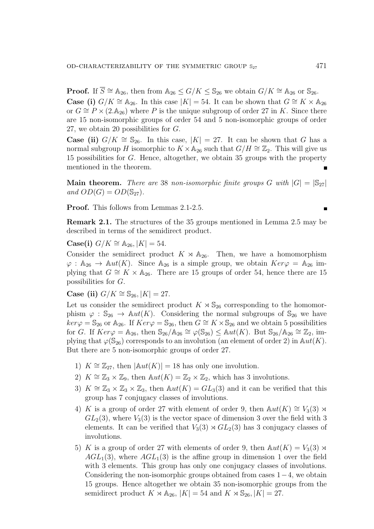**Proof.** If  $\overline{S} \cong \mathbb{A}_{26}$ , then from  $\mathbb{A}_{26} \leq G/K \leq \mathbb{S}_{26}$  we obtain  $G/K \cong \mathbb{A}_{26}$  or  $\mathbb{S}_{26}$ . **Case (i)**  $G/K \cong \mathbb{A}_{26}$ . In this case  $|K| = 54$ . It can be shown that  $G \cong K \times \mathbb{A}_{26}$ or  $G \cong P \times (2.\mathbb{A}_{26})$  where P is the unique subgroup of order 27 in K. Since there are 15 non-isomorphic groups of order 54 and 5 non-isomorphic groups of order 27, we obtain 20 possibilities for G.

**Case (ii)**  $G/K \cong \mathbb{S}_{26}$ . In this case,  $|K| = 27$ . It can be shown that G has a normal subgroup H isomorphic to  $K \times \mathbb{A}_{26}$  such that  $G/H \cong \mathbb{Z}_2$ . This will give us 15 possibilities for G. Hence, altogether, we obtain 35 groups with the property mentioned in the theorem.

**Main theorem.** There are 38 non-isomorphic finite groups G with  $|G| = |\mathbb{S}_{27}|$ and  $OD(G) = OD(\mathbb{S}_{27})$ .

Proof. This follows from Lemmas 2.1-2.5.

Remark 2.1. The structures of the 35 groups mentioned in Lemma 2.5 may be described in terms of the semidirect product.

**Case(i)**  $G/K \cong \mathbb{A}_{26}$ ,  $|K| = 54$ .

Consider the semidirect product  $K \times \mathbb{A}_{26}$ . Then, we have a homomorphism  $\varphi : \mathbb{A}_{26} \to \mathbb{A}ut(K)$ . Since  $\mathbb{A}_{26}$  is a simple group, we obtain  $Ker\varphi = \mathbb{A}_{26}$  implying that  $G \cong K \times \mathbb{A}_{26}$ . There are 15 groups of order 54, hence there are 15 possibilities for G.

Case (ii)  $G/K \cong$  S<sub>26</sub>, |K| = 27.

Let us consider the semidirect product  $K \rtimes \mathbb{S}_{26}$  corresponding to the homomorphism  $\varphi : \mathbb{S}_{26} \to \mathbb{A}ut(K)$ . Considering the normal subgroups of  $\mathbb{S}_{26}$  we have  $ker \varphi = \mathbb{S}_{26}$  or  $\mathbb{A}_{26}$ . If  $Ker \varphi = \mathbb{S}_{26}$ , then  $G \cong K \times \mathbb{S}_{26}$  and we obtain 5 possibilities for G. If  $Ker\varphi = \mathbb{A}_{26}$ , then  $\mathbb{S}_{26}/\mathbb{A}_{26} \cong \varphi(\mathbb{S}_{26}) \leq \mathbb{A}ut(K)$ . But  $\mathbb{S}_{26}/\mathbb{A}_{26} \cong \mathbb{Z}_{2}$ , implying that  $\varphi(\mathbb{S}_{26})$  corresponds to an involution (an element of order 2) in  $\mathbb{A}ut(K)$ . But there are 5 non-isomorphic groups of order 27.

- 1)  $K \cong \mathbb{Z}_{27}$ , then  $|\mathbb{A}ut(K)| = 18$  has only one involution.
- 2)  $K \cong \mathbb{Z}_3 \times \mathbb{Z}_9$ , then  $\mathbb{A}ut(K) = \mathbb{Z}_2 \times \mathbb{Z}_2$ , which has 3 involutions.
- 3)  $K \cong \mathbb{Z}_3 \times \mathbb{Z}_3 \times \mathbb{Z}_3$ , then  $\mathbb{A}ut(K) = GL_3(3)$  and it can be verified that this group has 7 conjugacy classes of involutions.
- 4) K is a group of order 27 with element of order 9, then  $\mathbb{A}ut(K) \cong V_3(3) \rtimes$  $GL_2(3)$ , where  $V_3(3)$  is the vector space of dimension 3 over the field with 3 elements. It can be verified that  $V_3(3) \rtimes GL_2(3)$  has 3 conjugacy classes of involutions.
- 5) K is a group of order 27 with elements of order 9, then  $\mathbb{A}ut(K) = V_3(3) \rtimes$  $AGL<sub>1</sub>(3)$ , where  $AGL<sub>1</sub>(3)$  is the affine group in dimension 1 over the field with 3 elements. This group has only one conjugacy classes of involutions. Considering the non-isomorphic groups obtained from cases  $1-4$ , we obtain 15 groups. Hence altogether we obtain 35 non-isomorphic groups from the semidirect product  $K \rtimes \mathbb{A}_{26}$ ,  $|K| = 54$  and  $K \rtimes \mathbb{S}_{26}$ ,  $|K| = 27$ .